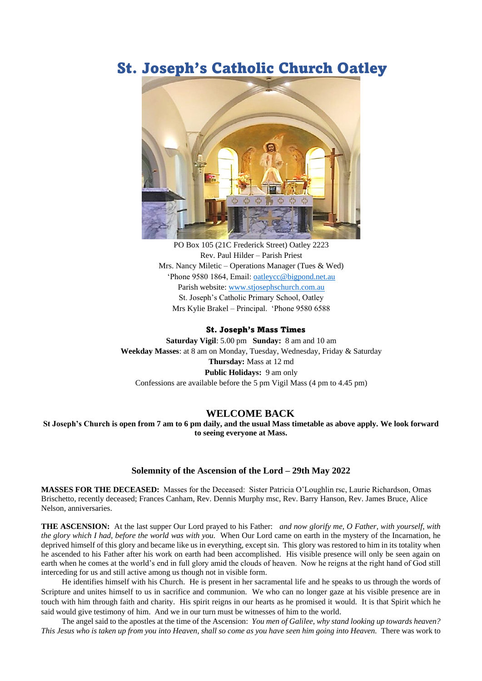## St. Joseph's Catholic Church Oatley



PO Box 105 (21C Frederick Street) Oatley 2223 Rev. Paul Hilder – Parish Priest Mrs. Nancy Miletic – Operations Manager (Tues  $&$  Wed) 'Phone 9580 1864, Email: [oatleycc@bigpond.net.au](mailto:oatleycc@bigpond.net.au) Parish website: [www.stjosephschurch.com.au](http://www.stjosephschurch.com.au/) St. Joseph's Catholic Primary School, Oatley Mrs Kylie Brakel – Principal. 'Phone 9580 6588

## St. Joseph's Mass Times

**Saturday Vigil**: 5.00 pm **Sunday:** 8 am and 10 am **Weekday Masses**: at 8 am on Monday, Tuesday, Wednesday, Friday & Saturday **Thursday:** Mass at 12 md **Public Holidays:** 9 am only Confessions are available before the 5 pm Vigil Mass (4 pm to 4.45 pm)

## **WELCOME BACK**

**St Joseph's Church is open from 7 am to 6 pm daily, and the usual Mass timetable as above apply. We look forward to seeing everyone at Mass.** 

## **Solemnity of the Ascension of the Lord – 29th May 2022**

**MASSES FOR THE DECEASED:** Masses for the Deceased: Sister Patricia O'Loughlin rsc, Laurie Richardson, Omas Brischetto, recently deceased; Frances Canham, Rev. Dennis Murphy msc, Rev. Barry Hanson, Rev. James Bruce, Alice Nelson, anniversaries.

**THE ASCENSION:** At the last supper Our Lord prayed to his Father: *and now glorify me, O Father, with yourself, with the glory which I had, before the world was with you.* When Our Lord came on earth in the mystery of the Incarnation, he deprived himself of this glory and became like us in everything, except sin. This glory was restored to him in its totality when he ascended to his Father after his work on earth had been accomplished. His visible presence will only be seen again on earth when he comes at the world's end in full glory amid the clouds of heaven. Now he reigns at the right hand of God still interceding for us and still active among us though not in visible form.

He identifies himself with his Church. He is present in her sacramental life and he speaks to us through the words of Scripture and unites himself to us in sacrifice and communion. We who can no longer gaze at his visible presence are in touch with him through faith and charity. His spirit reigns in our hearts as he promised it would. It is that Spirit which he said would give testimony of him. And we in our turn must be witnesses of him to the world.

The angel said to the apostles at the time of the Ascension: *You men of Galilee, why stand looking up towards heaven? This Jesus who is taken up from you into Heaven, shall so come as you have seen him going into Heaven.* There was work to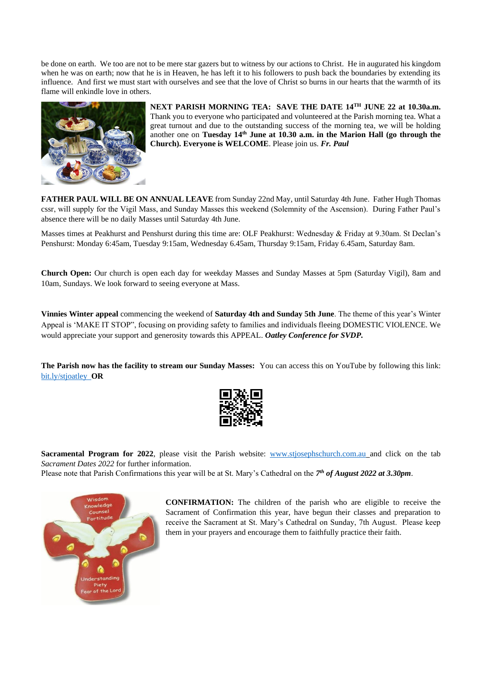be done on earth. We too are not to be mere star gazers but to witness by our actions to Christ. He in augurated his kingdom when he was on earth; now that he is in Heaven, he has left it to his followers to push back the boundaries by extending its influence. And first we must start with ourselves and see that the love of Christ so burns in our hearts that the warmth of its flame will enkindle love in others.



**NEXT PARISH MORNING TEA: SAVE THE DATE 14 TH JUNE 22 at 10.30a.m.** Thank you to everyone who participated and volunteered at the Parish morning tea. What a great turnout and due to the outstanding success of the morning tea, we will be holding another one on **Tuesday 14 th June at 10.30 a.m. in the Marion Hall (go through the Church). Everyone is WELCOME**. Please join us. *Fr. Paul*

**FATHER PAUL WILL BE ON ANNUAL LEAVE** from Sunday 22nd May, until Saturday 4th June. Father Hugh Thomas cssr, will supply for the Vigil Mass, and Sunday Masses this weekend (Solemnity of the Ascension). During Father Paul's absence there will be no daily Masses until Saturday 4th June.

**Sacramental Program for 2022**, please visit the Parish website: [www.stjosephschurch.com.au](http://www.stjosephschurch.com.au/) and click on the tab *Sacrament Dates 2022* for further information.

Masses times at Peakhurst and Penshurst during this time are: OLF Peakhurst: Wednesday & Friday at 9.30am. St Declan's Penshurst: Monday 6:45am, Tuesday 9:15am, Wednesday 6.45am, Thursday 9:15am, Friday 6.45am, Saturday 8am.

**Church Open:** Our church is open each day for weekday Masses and Sunday Masses at 5pm (Saturday Vigil), 8am and 10am, Sundays. We look forward to seeing everyone at Mass.

**Vinnies Winter appeal** commencing the weekend of **Saturday 4th and Sunday 5th June**. The theme of this year's Winter Appeal is 'MAKE IT STOP", focusing on providing safety to families and individuals fleeing DOMESTIC VIOLENCE. We would appreciate your support and generosity towards this APPEAL. *Oatley Conference for SVDP.*

**The Parish now has the facility to stream our Sunday Masses:** You can access this on YouTube by following this link: [bit.ly/stjoatley](http://bit.ly/stjoatley) **OR**



Please note that Parish Confirmations this year will be at St. Mary's Cathedral on the *7 th of August 2022 at 3.30pm*.



**CONFIRMATION:** The children of the parish who are eligible to receive the Sacrament of Confirmation this year, have begun their classes and preparation to receive the Sacrament at St. Mary's Cathedral on Sunday, 7th August. Please keep them in your prayers and encourage them to faithfully practice their faith.